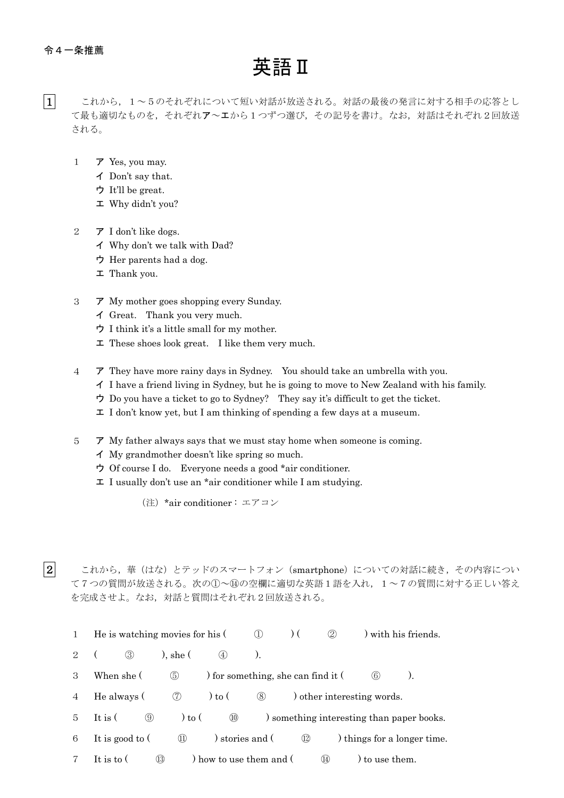2

## 英語Ⅱ

- $|1|$ これから、1~5のそれぞれについて短い対話が放送される。対話の最後の発言に対する相手の応答とし て最も適切なものを、それぞれア~エから1つずつ選び、その記号を書け。なお、対話はそれぞれ2回放送 される。
	- 1 ア Yes, you may.
		- イ Don't say that.
		- ウ It'll be great.
		- エ Why didn't you?
	- 2 ア I don't like dogs.
		- イ Why don't we talk with Dad?
		- ウ Her parents had a dog.
		- エ Thank you.
	- 3 ア My mother goes shopping every Sunday.
		- イ Great. Thank you very much.
		- ウ I think it's a little small for my mother.
		- $\mathbf{\Sigma}$  These shoes look great. I like them very much.
	- 4 ア They have more rainy days in Sydney. You should take an umbrella with you.
		- イ I have a friend living in Sydney, but he is going to move to New Zealand with his family.
		- ウ Do you have a ticket to go to Sydney? They say it's difficult to get the ticket.
		- エ I don't know yet, but I am thinking of spending a few days at a museum.
	- 5 ア My father always says that we must stay home when someone is coming.
		- イ My grandmother doesn't like spring so much.
		- ウ Of course I do. Everyone needs a good \*air conditioner.
		- エ I usually don't use an \*air conditioner while I am studying.
			- (注)\*air conditioner : エアコン

これから、華(はな)とテッドのスマートフォン (smartphone)についての対話に続き、その内容につい て7つの質問が放送される。次の1)~⑭の空欄に適切な英語1語を入れ、1~7の質問に対する正しい答え を完成させよ。なお,対話と質問はそれぞれ2回放送される。

- 1 He is watching movies for his (  $\oplus$  ) (  $\oplus$  ) with his friends.
- 2 ( 3)  $),$  she ( 4)  $).$
- 3 When she (  $\circled{5}$  ) for something, she can find it (  $\circled{6}$  ).
- 4 He always  $( \circled{7}$  to  $( \circled{8}$  other interesting words.
- 5 It is (  $\circled{9}$  ) to (  $\circled{0}$  ) something interesting than paper books.
- 6 It is good to  $( \t\t 1)$  stories and  $( \t\t 1)$  things for a longer time.
- 7 It is to  $($   $\circled{13}$  ) how to use them and  $($   $\circled{4}$  ) to use them.